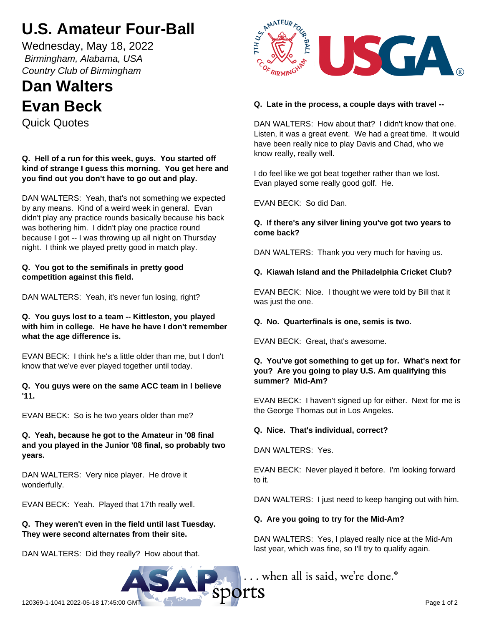# **U.S. Amateur Four-Ball**

Wednesday, May 18, 2022  *Birmingham, Alabama, USA Country Club of Birmingham*

## **Dan Walters Evan Beck**

Quick Quotes

**Q. Hell of a run for this week, guys. You started off kind of strange I guess this morning. You get here and you find out you don't have to go out and play.**

DAN WALTERS: Yeah, that's not something we expected by any means. Kind of a weird week in general. Evan didn't play any practice rounds basically because his back was bothering him. I didn't play one practice round because I got -- I was throwing up all night on Thursday night. I think we played pretty good in match play.

## **Q. You got to the semifinals in pretty good competition against this field.**

DAN WALTERS: Yeah, it's never fun losing, right?

#### **Q. You guys lost to a team -- Kittleston, you played with him in college. He have he have I don't remember what the age difference is.**

EVAN BECK: I think he's a little older than me, but I don't know that we've ever played together until today.

#### **Q. You guys were on the same ACC team in I believe '11.**

EVAN BECK: So is he two years older than me?

## **Q. Yeah, because he got to the Amateur in '08 final and you played in the Junior '08 final, so probably two years.**

DAN WALTERS: Very nice player. He drove it wonderfully.

EVAN BECK: Yeah. Played that 17th really well.

## **Q. They weren't even in the field until last Tuesday. They were second alternates from their site.**

DAN WALTERS: Did they really? How about that.



## **Q. Late in the process, a couple days with travel --**

DAN WALTERS: How about that? I didn't know that one. Listen, it was a great event. We had a great time. It would have been really nice to play Davis and Chad, who we know really, really well.

I do feel like we got beat together rather than we lost. Evan played some really good golf. He.

EVAN BECK: So did Dan.

## **Q. If there's any silver lining you've got two years to come back?**

DAN WALTERS: Thank you very much for having us.

## **Q. Kiawah Island and the Philadelphia Cricket Club?**

EVAN BECK: Nice. I thought we were told by Bill that it was just the one.

## **Q. No. Quarterfinals is one, semis is two.**

EVAN BECK: Great, that's awesome.

#### **Q. You've got something to get up for. What's next for you? Are you going to play U.S. Am qualifying this summer? Mid-Am?**

EVAN BECK: I haven't signed up for either. Next for me is the George Thomas out in Los Angeles.

## **Q. Nice. That's individual, correct?**

DAN WALTERS: Yes.

EVAN BECK: Never played it before. I'm looking forward to it.

DAN WALTERS: I just need to keep hanging out with him.

## **Q. Are you going to try for the Mid-Am?**

DAN WALTERS: Yes, I played really nice at the Mid-Am last year, which was fine, so I'll try to qualify again.

... when all is said, we're done.